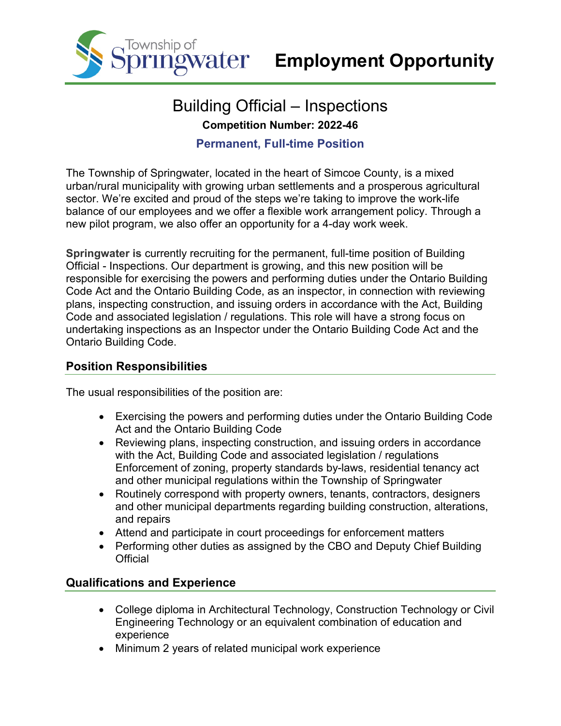

# Building Official – Inspections **Competition Number: 2022-46**

### **Permanent, Full-time Position**

The Township of Springwater, located in the heart of Simcoe County, is a mixed urban/rural municipality with growing urban settlements and a prosperous agricultural sector. We're excited and proud of the steps we're taking to improve the work-life balance of our employees and we offer a flexible work arrangement policy. Through a new pilot program, we also offer an opportunity for a 4-day work week.

**Springwater is** currently recruiting for the permanent, full-time position of Building Official - Inspections. Our department is growing, and this new position will be responsible for exercising the powers and performing duties under the Ontario Building Code Act and the Ontario Building Code, as an inspector, in connection with reviewing plans, inspecting construction, and issuing orders in accordance with the Act, Building Code and associated legislation / regulations. This role will have a strong focus on undertaking inspections as an Inspector under the Ontario Building Code Act and the Ontario Building Code.

### **Position Responsibilities**

The usual responsibilities of the position are:

- Exercising the powers and performing duties under the Ontario Building Code Act and the Ontario Building Code
- Reviewing plans, inspecting construction, and issuing orders in accordance with the Act, Building Code and associated legislation / regulations Enforcement of zoning, property standards by-laws, residential tenancy act and other municipal regulations within the Township of Springwater
- Routinely correspond with property owners, tenants, contractors, designers and other municipal departments regarding building construction, alterations, and repairs
- Attend and participate in court proceedings for enforcement matters
- Performing other duties as assigned by the CBO and Deputy Chief Building **Official**

### **Qualifications and Experience**

- College diploma in Architectural Technology, Construction Technology or Civil Engineering Technology or an equivalent combination of education and experience
- Minimum 2 years of related municipal work experience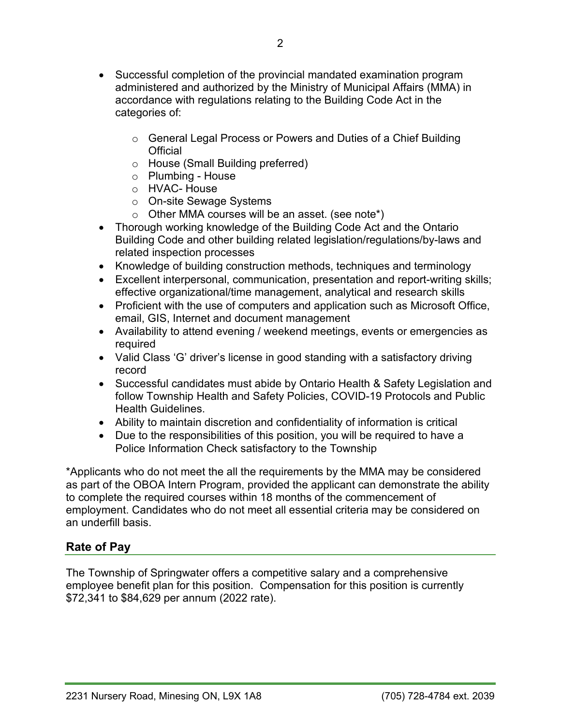- Successful completion of the provincial mandated examination program administered and authorized by the Ministry of Municipal Affairs (MMA) in accordance with regulations relating to the Building Code Act in the categories of:
	- o General Legal Process or Powers and Duties of a Chief Building **Official**
	- o House (Small Building preferred)
	- o Plumbing House
	- o HVAC- House
	- o On-site Sewage Systems
	- $\circ$  Other MMA courses will be an asset. (see note\*)
- Thorough working knowledge of the Building Code Act and the Ontario Building Code and other building related legislation/regulations/by-laws and related inspection processes
- Knowledge of building construction methods, techniques and terminology
- Excellent interpersonal, communication, presentation and report-writing skills; effective organizational/time management, analytical and research skills
- Proficient with the use of computers and application such as Microsoft Office, email, GIS, Internet and document management
- Availability to attend evening / weekend meetings, events or emergencies as required
- Valid Class 'G' driver's license in good standing with a satisfactory driving record
- Successful candidates must abide by Ontario Health & Safety Legislation and follow Township Health and Safety Policies, COVID-19 Protocols and Public Health Guidelines.
- Ability to maintain discretion and confidentiality of information is critical
- Due to the responsibilities of this position, you will be required to have a Police Information Check satisfactory to the Township

\*Applicants who do not meet the all the requirements by the MMA may be considered as part of the OBOA Intern Program, provided the applicant can demonstrate the ability to complete the required courses within 18 months of the commencement of employment. Candidates who do not meet all essential criteria may be considered on an underfill basis.

## **Rate of Pay**

The Township of Springwater offers a competitive salary and a comprehensive employee benefit plan for this position. Compensation for this position is currently \$72,341 to \$84,629 per annum (2022 rate).